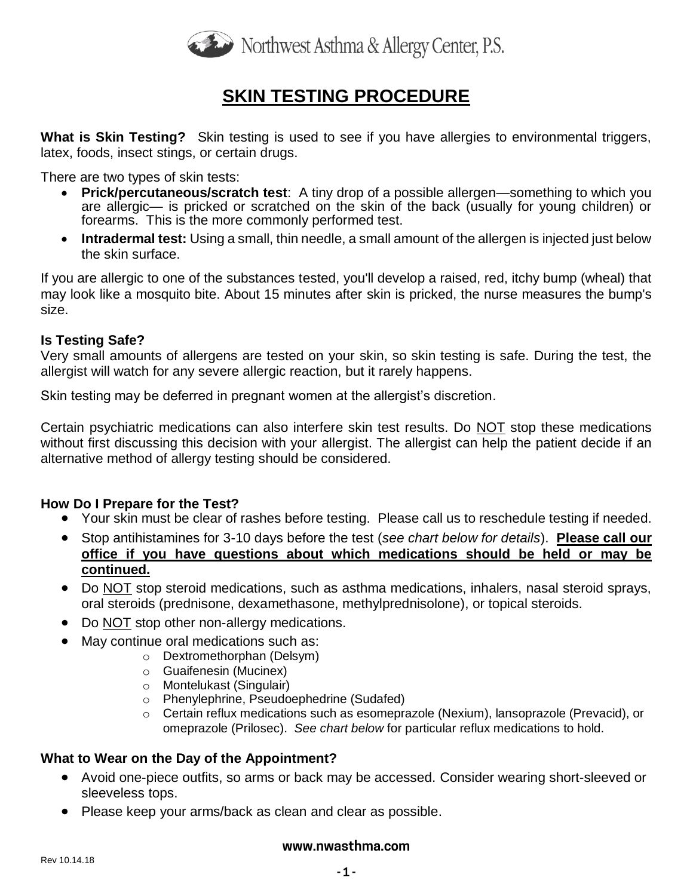

## **SKIN TESTING PROCEDURE**

**What is Skin Testing?** Skin testing is used to see if you have allergies to environmental triggers, latex, foods, insect stings, or certain drugs.

There are two types of skin tests:

- **Prick/percutaneous/scratch test**: A tiny drop of a possible allergen—something to which you are allergic— is pricked or scratched on the skin of the back (usually for young children) or forearms. This is the more commonly performed test.
- **Intradermal test:** Using a small, thin needle, a small amount of the allergen is injected just below the skin surface.

If you are allergic to one of the substances tested, you'll develop a raised, red, itchy bump (wheal) that may look like a mosquito bite. About 15 minutes after skin is pricked, the nurse measures the bump's size.

### **Is Testing Safe?**

Very small amounts of allergens are tested on your skin, so skin testing is safe. During the test, the allergist will watch for any severe allergic reaction, but it rarely happens.

Skin testing may be deferred in pregnant women at the allergist's discretion.

Certain psychiatric medications can also interfere skin test results. Do NOT stop these medications without first discussing this decision with your allergist. The allergist can help the patient decide if an alternative method of allergy testing should be considered.

### **How Do I Prepare for the Test?**

- Your skin must be clear of rashes before testing. Please call us to reschedule testing if needed.
- Stop antihistamines for 3-10 days before the test (*see chart below for details*). **Please call our office if you have questions about which medications should be held or may be continued.**
- Do NOT stop steroid medications, such as asthma medications, inhalers, nasal steroid sprays, oral steroids (prednisone, dexamethasone, methylprednisolone), or topical steroids.
- Do NOT stop other non-allergy medications.
- May continue oral medications such as:
	- o Dextromethorphan (Delsym)
	- o Guaifenesin (Mucinex)
	- o Montelukast (Singulair)
	- o Phenylephrine, Pseudoephedrine (Sudafed)
	- $\circ$  Certain reflux medications such as esomeprazole (Nexium), lansoprazole (Prevacid), or omeprazole (Prilosec). *See chart below* for particular reflux medications to hold.

### **What to Wear on the Day of the Appointment?**

- Avoid one-piece outfits, so arms or back may be accessed. Consider wearing short-sleeved or sleeveless tops.
- Please keep your arms/back as clean and clear as possible.

#### **www.nwasthma.com**